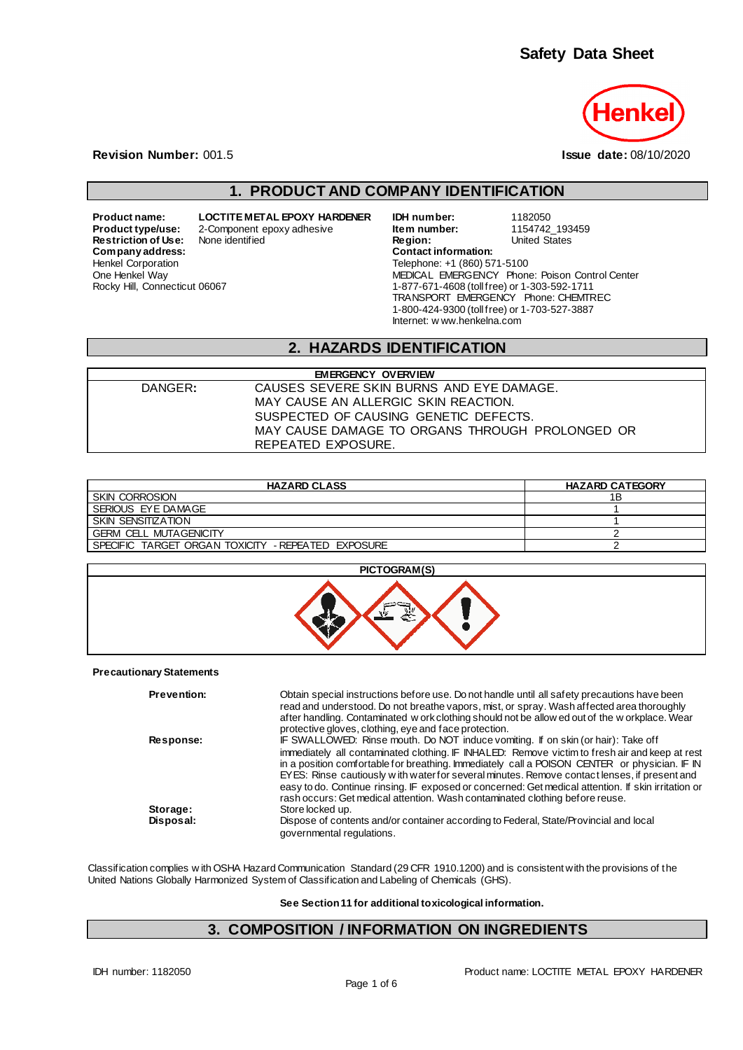

**Revision Number:** 001.5 **Issue date:** 08/10/2020

### **1. PRODUCT AND COMPANY IDENTIFICATION**

**Restriction of Use:**<br>Company address: Henkel Corporation One Henkel Way Rocky Hill, Connecticut 06067

**Product name: LOCTITE METAL EPOXY HARDENER IDH number:** 1182050<br>**Product type/use:** 2-Component epoxy adhesive **item number:** 1154742\_193459 Product type and the series of the *Item number*: 1154742\_1934<br> **Product Component Component Component Component Component Component Component Component Component Component Compo<br>
Product Component Component Component Comp Company address: Contact information:** Telephone: +1 (860) 571-5100 MEDICAL EMERGENCY Phone: Poison Control Center 1-877-671-4608 (toll free) or 1-303-592-1711 TRANSPORT EMERGENCY Phone: CHEMTREC 1-800-424-9300 (toll free) or 1-703-527-3887 Internet: w ww.henkelna.com

#### **2. HAZARDS IDENTIFICATION**

|         | <b>EMERGENCY OVERVIEW</b>                       |  |
|---------|-------------------------------------------------|--|
| DANGER: | CAUSES SEVERE SKIN BURNS AND EYE DAMAGE.        |  |
|         | MAY CAUSE AN ALLERGIC SKIN REACTION.            |  |
|         | SUSPECTED OF CAUSING GENETIC DEFECTS.           |  |
|         | MAY CAUSE DAMAGE TO ORGANS THROUGH PROLONGED OR |  |
|         | REPEATED EXPOSURE.                              |  |

| <b>HAZARD CLASS</b>                                          | <b>HAZARD CATEGORY</b> |
|--------------------------------------------------------------|------------------------|
| <b>SKIN CORROSION</b>                                        | 1Β                     |
| SERIOUS EYE DAMAGE                                           |                        |
| <b>SKIN SENSITIZATION</b>                                    |                        |
| <b>GERM CELL MUTAGENICITY</b>                                |                        |
| TARGET ORGAN TOXICITY - REPEATED EXPOSURE<br><b>SPECIFIC</b> |                        |



#### **Precautionary Statements**

| <b>Prevention:</b> | Obtain special instructions before use. Do not handle until all safety precautions have been<br>read and understood. Do not breathe vapors, mist, or spray. Wash affected area thoroughly<br>after handling. Contaminated w ork clothing should not be allow ed out of the w orkplace. Wear<br>protective gloves, clothing, eye and face protection. |
|--------------------|------------------------------------------------------------------------------------------------------------------------------------------------------------------------------------------------------------------------------------------------------------------------------------------------------------------------------------------------------|
|                    |                                                                                                                                                                                                                                                                                                                                                      |
| Response:          | IF SWALLOWED: Rinse mouth. Do NOT induce vomiting. If on skin (or hair): Take off                                                                                                                                                                                                                                                                    |
|                    | immediately all contaminated clothing. IF INHALED: Remove victim to fresh air and keep at rest                                                                                                                                                                                                                                                       |
|                    | in a position comfortable for breathing. Immediately call a POISON CENTER or physician. IF IN                                                                                                                                                                                                                                                        |
|                    | EYES: Rinse cautiously with water for several minutes. Remove contact lenses, if present and                                                                                                                                                                                                                                                         |
|                    | easy to do. Continue rinsing. IF exposed or concerned: Get medical attention. If skin irritation or                                                                                                                                                                                                                                                  |
|                    |                                                                                                                                                                                                                                                                                                                                                      |
|                    | rash occurs: Get medical attention. Wash contaminated clothing before reuse.                                                                                                                                                                                                                                                                         |
| Storage:           | Store locked up.                                                                                                                                                                                                                                                                                                                                     |
| Disposal:          | Dispose of contents and/or container according to Federal, State/Provincial and local                                                                                                                                                                                                                                                                |
|                    | governmental regulations.                                                                                                                                                                                                                                                                                                                            |
|                    |                                                                                                                                                                                                                                                                                                                                                      |

Classification complies w ith OSHA Hazard Communication Standard (29 CFR 1910.1200) and is consistent with the provisions of the United Nations Globally Harmonized System of Classification and Labeling of Chemicals (GHS).

**See Section 11 for additional toxicological information.**

### **3. COMPOSITION / INFORMATION ON INGREDIENTS**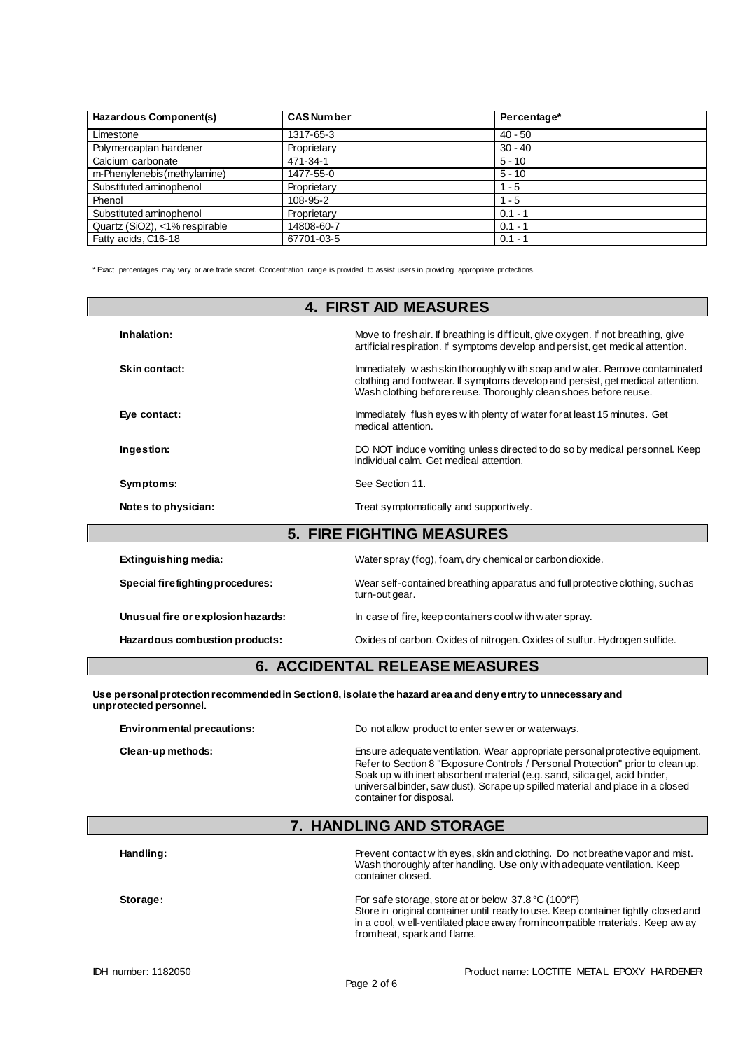| Hazardous Component(s)        | <b>CAS Number</b> | Percentage* |  |
|-------------------------------|-------------------|-------------|--|
| Limestone                     | 1317-65-3         | $40 - 50$   |  |
| Polymercaptan hardener        | Proprietary       | $30 - 40$   |  |
| Calcium carbonate             | 471-34-1          | $5 - 10$    |  |
| m-Phenylenebis (methylamine)  | 1477-55-0         | $5 - 10$    |  |
| Substituted aminophenol       | Proprietary       | $1 - 5$     |  |
| Phenol                        | 108-95-2          | $1 - 5$     |  |
| Substituted aminophenol       | Proprietary       | $0.1 - 1$   |  |
| Quartz (SiO2), <1% respirable | 14808-60-7        | $0.1 - 1$   |  |
| Fatty acids, C16-18           | 67701-03-5        | $0.1 - 1$   |  |

\* Exact percentages may vary or are trade secret. Concentration range is provided to assist users in providing appropriate pr otections.

|                      | <b>4. FIRST AID MEASURES</b>                                                                                                                                                                                                       |  |
|----------------------|------------------------------------------------------------------------------------------------------------------------------------------------------------------------------------------------------------------------------------|--|
| Inhalation:          | Move to fresh air. If breathing is difficult, give oxygen. If not breathing, give<br>artificial respiration. If symptoms develop and persist, get medical attention.                                                               |  |
| Skin contact:        | Immediately w ash skin thoroughly w ith soap and w ater. Remove contaminated<br>clothing and footwear. If symptoms develop and persist, get medical attention.<br>Wash clothing before reuse. Thoroughly clean shoes before reuse. |  |
| Eye contact:         | Immediately flush eyes with plenty of water for at least 15 minutes. Get<br>medical attention.                                                                                                                                     |  |
| Ingestion:           | DO NOT induce vomiting unless directed to do so by medical personnel. Keep<br>individual calm. Get medical attention.                                                                                                              |  |
| Symptoms:            | See Section 11.                                                                                                                                                                                                                    |  |
| Notes to physician:  | Treat symptomatically and supportively.                                                                                                                                                                                            |  |
|                      | <b>5. FIRE FIGHTING MEASURES</b>                                                                                                                                                                                                   |  |
| Extinguishing media: | Water spray (fog), foam, dry chemical or carbon dioxide.                                                                                                                                                                           |  |

| Unusual fire or explosion hazards:<br>Hazardous combustion products: | In case of fire, keep containers cool with water spray.<br>Oxides of carbon. Oxides of nitrogen. Oxides of sulfur. Hydrogen sulfide. |
|----------------------------------------------------------------------|--------------------------------------------------------------------------------------------------------------------------------------|
| Special firefighting procedures:                                     | Wear self-contained breathing apparatus and full protective clothing, such as<br>turn-out gear.                                      |
| Extinguishing media:                                                 | Water spray (fog), foam, dry chemical or carbon dioxide.                                                                             |

## **6. ACCIDENTAL RELEASE MEASURES**

**Use personal protection recommended in Section 8, isolate the hazard area and deny entry to unnecessary and unprotected personnel.**

| Environmental precautions: | Do not allow product to enter sew er or waterways.                                                                                                                                                                                                                                                                                                        |
|----------------------------|-----------------------------------------------------------------------------------------------------------------------------------------------------------------------------------------------------------------------------------------------------------------------------------------------------------------------------------------------------------|
| Clean-up methods:          | Ensure adequate ventilation. Wear appropriate personal protective equipment.<br>Refer to Section 8 "Exposure Controls / Personal Protection" prior to clean up.<br>Soak up with inert absorbent material (e.g. sand, silica gel, acid binder,<br>universal binder, saw dust). Scrape up spilled material and place in a closed<br>container for disposal. |
|                            | <b>7. HANDLING AND STORAGE</b>                                                                                                                                                                                                                                                                                                                            |
| Handling:                  | Prevent contact with eyes, skin and clothing. Do not breathe vapor and mist.<br>Wash thoroughly after handling. Use only with adequate ventilation. Keep                                                                                                                                                                                                  |

|          | container closed.                                                                                                                                                                                                                                                            |
|----------|------------------------------------------------------------------------------------------------------------------------------------------------------------------------------------------------------------------------------------------------------------------------------|
| Storage: | For safe storage, store at or below $37.8\text{ °C}$ (100 $\text{°F}$ )<br>Store in original container until ready to use. Keep container tightly closed and<br>in a cool, w ell-ventilated place away from incompatible materials. Keep away<br>from heat, spark and flame. |
|          |                                                                                                                                                                                                                                                                              |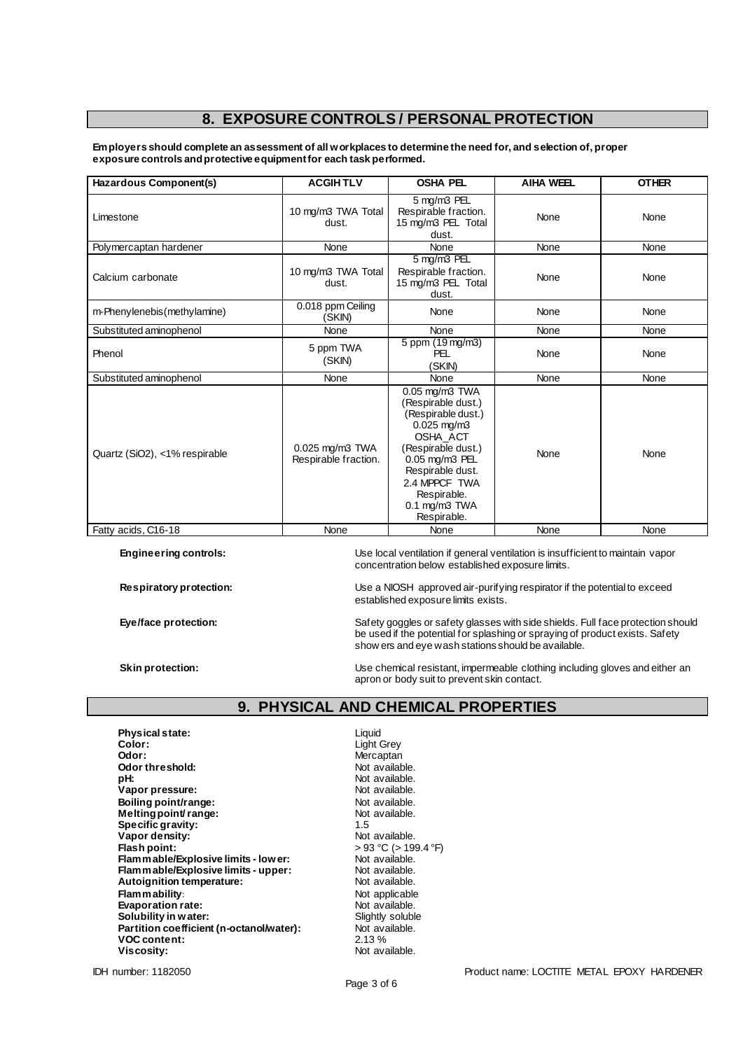### **8. EXPOSURE CONTROLS / PERSONAL PROTECTION**

**Employers should complete an assessment of all workplaces to determine the need for, and selection of, proper exposure controls and protective equipment for each task performed.**

| Hazardous Component(s)        | <b>ACGIHTLV</b>                         | <b>OSHA PEL</b>                                                                                                                                                                                                             | <b>AIHA WEEL</b> | <b>OTHER</b> |
|-------------------------------|-----------------------------------------|-----------------------------------------------------------------------------------------------------------------------------------------------------------------------------------------------------------------------------|------------------|--------------|
| Limestone                     | 10 mg/m3 TWA Total<br>dust.             | 5 mg/m3 PEL<br>Respirable fraction.<br>15 mg/m3 PEL Total<br>dust.                                                                                                                                                          | None             | None         |
| Polymercaptan hardener        | None                                    | None                                                                                                                                                                                                                        | None             | None         |
| Calcium carbonate             | 10 mg/m3 TWA Total<br>dust.             | 5 mg/m3 PEL<br>Respirable fraction.<br>15 mg/m3 PEL Total<br>dust.                                                                                                                                                          | None             | None         |
| m-Phenylenebis (methylamine)  | 0.018 ppm Ceiling<br>(SKIN)             | None                                                                                                                                                                                                                        | None             | None         |
| Substituted aminophenol       | None                                    | None                                                                                                                                                                                                                        | None             | None         |
| Phenol                        | 5 ppm TWA<br>(SKIN)                     | 5 ppm (19 mg/m3)<br>PFL<br>(SKIN)                                                                                                                                                                                           | None             | None         |
| Substituted aminophenol       | None                                    | None                                                                                                                                                                                                                        | None             | None         |
| Quartz (SiO2), <1% respirable | 0.025 mg/m3 TWA<br>Respirable fraction. | 0.05 mg/m3 TWA<br>(Respirable dust.)<br>(Respirable dust.)<br>$0.025$ mg/m $3$<br>OSHA_ACT<br>(Respirable dust.)<br>0.05 mg/m3 PEL<br>Respirable dust.<br>2.4 MPPCF TWA<br>Respirable.<br>$0.1$ mg/m $3$ TWA<br>Respirable. | None             | None         |
| Fatty acids, C16-18           | None                                    | None                                                                                                                                                                                                                        | None             | None         |

**Engineering controls:** Use local ventilation if general ventilation is insufficient to maintain vapor concentration below established exposure limits.

**Respiratory protection:** Use a NIOSH approved air-purifying respirator if the potential to exceed established exposure limits exists.

**Eye/face protection:** Safety goggles or safety glasses with side shields. Full face protection should be used if the potential for splashing or spraying of product exists. Safety show ers and eye wash stations should be available.

**Skin protection:** Use chemical resistant, impermeable clothing including gloves and either an apron or body suit to prevent skin contact.

## **9. PHYSICAL AND CHEMICAL PROPERTIES**

**Liquid** Light Grey **Odor:** Mercaptan

| <b>Physical state:</b>                   | Liquid   |
|------------------------------------------|----------|
| Color:                                   | Light G  |
| Odor:                                    | Mercap   |
| Odor threshold:                          | Not av:  |
| pH:                                      | Not ava  |
| Vapor pressure:                          | Not ava  |
| Boiling point/range:                     | Not ava  |
| Melting point/range:                     | Not ava  |
| Specific gravity:                        | 1.5      |
| Vapor density:                           | Not av   |
| Flash point:                             | > 93 °C  |
| Flam mable/Explosive limits - low er:    | Not av:  |
| Flam mable/Explosive limits - upper:     | Not av:  |
| Autoignition temperature:                | Not av:  |
| Flammability:                            | Not ap   |
| <b>Evaporation rate:</b>                 | Not ava  |
| Solubility in water:                     | Slightly |
| Partition coefficient (n-octanol/water): | Not ava  |
| <b>VOC content:</b>                      | 2.13%    |
| Viscositv:                               | Not ava  |

Not available. Not available. Not available. **Not available.** Not available.<br>1.5 Not available. **Flash point:** > 93 °C (> 199.4 °F) **Flammable/Explosive limits - lower:** Not available. Not available. Not available. **Not applicable** Not available. **Slightly soluble** Not available.<br>2.13 % Not available.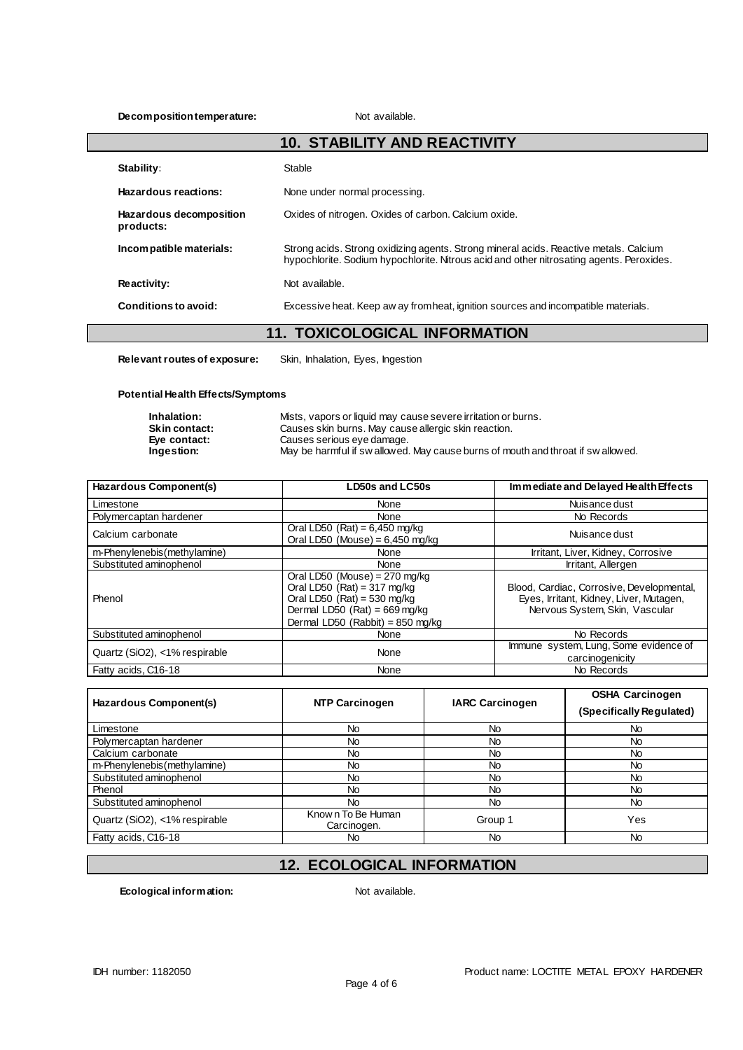#### **Decomposition temperature:** Not available.

|                                      | <b>10. STABILITY AND REACTIVITY</b>                                                                                                                                               |
|--------------------------------------|-----------------------------------------------------------------------------------------------------------------------------------------------------------------------------------|
| Stability:                           | Stable                                                                                                                                                                            |
| Hazardous reactions:                 | None under normal processing.                                                                                                                                                     |
| Hazardous decomposition<br>products: | Oxides of nitrogen. Oxides of carbon. Calcium oxide.                                                                                                                              |
| Incompatible materials:              | Strong acids. Strong oxidizing agents. Strong mineral acids. Reactive metals. Calcium<br>hypochlorite. Sodium hypochlorite. Nitrous acid and other nitrosating agents. Peroxides. |
| Reactivity:                          | Not available.                                                                                                                                                                    |
| Conditions to avoid:                 | Excessive heat. Keep aw ay from heat, ignition sources and incompatible materials.                                                                                                |

### **11. TOXICOLOGICAL INFORMATION**

**Relevant routes of exposure:** Skin, Inhalation, Eyes, Ingestion

**Potential Health Effects/Symptoms**

| Inhalation:          | Mists, vapors or liquid may cause severe irritation or burns.                    |
|----------------------|----------------------------------------------------------------------------------|
| <b>Skin contact:</b> | Causes skin burns. May cause allergic skin reaction.                             |
| Eve contact:         | Causes serious eve damage.                                                       |
| Ingestion:           | May be harmful if sw allowed. May cause burns of mouth and throat if sw allowed. |

| Hazardous Component(s)        | LD50s and LC50s                                                                                                                                                                          | Immediate and Delayed Health Effects                                                                                   |
|-------------------------------|------------------------------------------------------------------------------------------------------------------------------------------------------------------------------------------|------------------------------------------------------------------------------------------------------------------------|
| Limestone                     | None                                                                                                                                                                                     | Nuisance dust                                                                                                          |
| Polymercaptan hardener        | None                                                                                                                                                                                     | No Records                                                                                                             |
| Calcium carbonate             | Oral LD50 (Rat) = $6,450$ mg/kg<br>Oral LD50 (Mouse) = $6,450$ mg/kg                                                                                                                     | Nuisance dust                                                                                                          |
| m-Phenylenebis (methylamine)  | None                                                                                                                                                                                     | Irritant, Liver, Kidney, Corrosive                                                                                     |
| Substituted aminophenol       | None                                                                                                                                                                                     | Irritant, Allergen                                                                                                     |
| Phenol                        | Oral LD50 (Mouse) = $270$ mg/kg<br>Oral LD50 (Rat) = $317 \text{ mg/kg}$<br>Oral LD50 (Rat) = $530$ mg/kg<br>Dermal LD50 (Rat) = $669 \text{ mg/kg}$<br>Dermal LD50 (Rabbit) = 850 mg/kg | Blood, Cardiac, Corrosive, Developmental,<br>Eyes, Irritant, Kidney, Liver, Mutagen,<br>Nervous System, Skin, Vascular |
| Substituted aminophenol       | None                                                                                                                                                                                     | No Records                                                                                                             |
| Quartz (SiO2), <1% respirable | None                                                                                                                                                                                     | Immune system, Lung, Some evidence of<br>carcinogenicity                                                               |
| Fatty acids, C16-18           | None                                                                                                                                                                                     | No Records                                                                                                             |

|                               | <b>NTP Carcinogen</b>            |                        | <b>OSHA Carcinogen</b>   |
|-------------------------------|----------------------------------|------------------------|--------------------------|
| Hazardous Component(s)        |                                  | <b>IARC Carcinogen</b> | (Specifically Regulated) |
| Limestone                     | No.                              | No                     | No.                      |
| Polymercaptan hardener        | No                               | No                     | No                       |
| Calcium carbonate             | No                               | No                     | No                       |
| m-Phenylenebis (methylamine)  | No                               | No                     | No.                      |
| Substituted aminophenol       | No.                              | No                     | No                       |
| Phenol                        | No.                              | No                     | No                       |
| Substituted aminophenol       | No.                              | No                     | No                       |
| Quartz (SiO2), <1% respirable | Known To Be Human<br>Carcinogen. | Group 1                | Yes                      |
| Fatty acids, C16-18           | No.                              | No                     | No                       |

# **12. ECOLOGICAL INFORMATION**

**Ecological information:** Not available.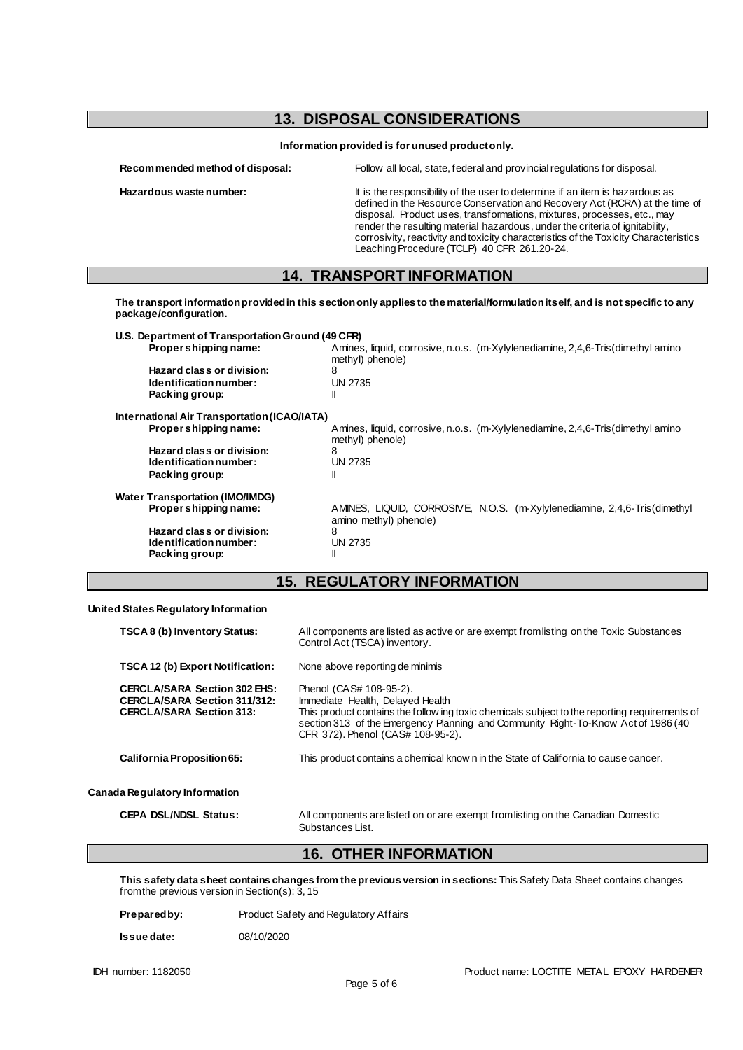### **13. DISPOSAL CONSIDERATIONS**

**Information provided is for unused product only.**

**Recommended method of disposal:** Follow all local, state, federal and provincial regulations for disposal.

**Hazardous waste number:** It is the responsibility of the user to determine if an item is hazardous as defined in the Resource Conservation and Recovery Act (RCRA) at the time of disposal. Product uses, transformations, mixtures, processes, etc., may render the resulting material hazardous, under the criteria of ignitability, corrosivity, reactivity and toxicity characteristics of the Toxicity Characteristics Leaching Procedure (TCLP) 40 CFR 261.20-24.

#### **14. TRANSPORT INFORMATION**

**The transport information provided in this section only applies to the material/formulation itself, and is not specific to any package/configuration. U.S. Department of Transportation Ground (49 CFR)**

| Propershipping name:                         | Amines, liquid, corrosive, n.o.s. (m-Xylylenediamine, 2,4,6-Tris(dimethyl amino<br>methyl) phenole) |
|----------------------------------------------|-----------------------------------------------------------------------------------------------------|
| Hazard class or division:                    | 8                                                                                                   |
| Identification number:                       | UN 2735                                                                                             |
| Packing group:                               | II                                                                                                  |
| International Air Transportation (ICAO/IATA) |                                                                                                     |
| Propershipping name:                         | Amines, liquid, corrosive, n.o.s. (m-Xylylenediamine, 2,4,6-Tris(dimethyl amino<br>methyl) phenole) |
| Hazard class or division:                    | 8                                                                                                   |
| Identification number:                       | UN 2735                                                                                             |
| Packing group:                               | Ш                                                                                                   |
| <b>Water Transportation (IMO/IMDG)</b>       |                                                                                                     |
| Proper shipping name:                        | AMINES, LIQUID, CORROSIVE, N.O.S. (m-Xylylenediamine, 2,4,6-Tris(dimethyl<br>amino methyl) phenole) |
| Hazard class or division:                    | 8                                                                                                   |
| Identification number:                       | UN 2735                                                                                             |
| Packing group:                               | Ш                                                                                                   |
|                                              |                                                                                                     |

## **15. REGULATORY INFORMATION**

#### **United States Regulatory Information**

| <b>TSCA 8 (b) Inventory Status:</b>                                                                           | All components are listed as active or are exempt from listing on the Toxic Substances<br>Control Act (TSCA) inventory.                                                                                                                                                                |
|---------------------------------------------------------------------------------------------------------------|----------------------------------------------------------------------------------------------------------------------------------------------------------------------------------------------------------------------------------------------------------------------------------------|
| TSCA 12 (b) Export Notification:                                                                              | None above reporting de minimis                                                                                                                                                                                                                                                        |
| <b>CERCLA/SARA Section 302 EHS:</b><br><b>CERCLA/SARA Section 311/312:</b><br><b>CERCLA/SARA Section 313:</b> | Phenol (CAS# 108-95-2).<br>Immediate Health, Delayed Health<br>This product contains the follow ing toxic chemicals subject to the reporting requirements of<br>section 313 of the Emergency Planning and Community Right-To-Know Act of 1986 (40<br>CFR 372). Phenol (CAS# 108-95-2). |
| California Proposition 65:                                                                                    | This product contains a chemical know n in the State of California to cause cancer.                                                                                                                                                                                                    |
| Canada Regulatory Information                                                                                 |                                                                                                                                                                                                                                                                                        |
| <b>CEPA DSL/NDSL Status:</b>                                                                                  | All components are listed on or are exempt from listing on the Canadian Domestic<br>Substances List.                                                                                                                                                                                   |

#### **16. OTHER INFORMATION**

**This safety data sheet contains changes from the previous version in sections:** This Safety Data Sheet contains changes from the previous version in Section(s): 3, 15

| Prepared by: | Product Safety and Regulatory Affairs |
|--------------|---------------------------------------|
| Issue date:  | 08/10/2020                            |